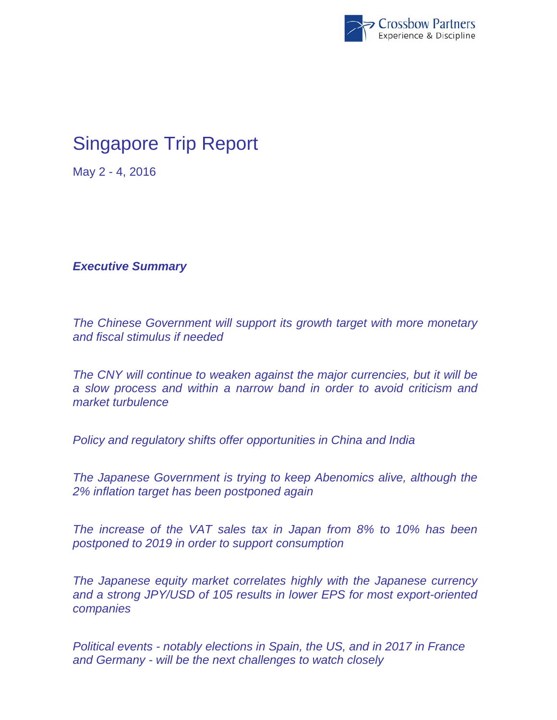

## Singapore Trip Report

May 2 - 4, 2016

*Executive Summary* 

*The Chinese Government will support its growth target with more monetary and fiscal stimulus if needed* 

*The CNY will continue to weaken against the major currencies, but it will be a slow process and within a narrow band in order to avoid criticism and market turbulence* 

*Policy and regulatory shifts offer opportunities in China and India* 

*The Japanese Government is trying to keep Abenomics alive, although the 2% inflation target has been postponed again* 

*The increase of the VAT sales tax in Japan from 8% to 10% has been postponed to 2019 in order to support consumption* 

*The Japanese equity market correlates highly with the Japanese currency and a strong JPY/USD of 105 results in lower EPS for most export-oriented companies* 

*Political events - notably elections in Spain, the US, and in 2017 in France and Germany - will be the next challenges to watch closely*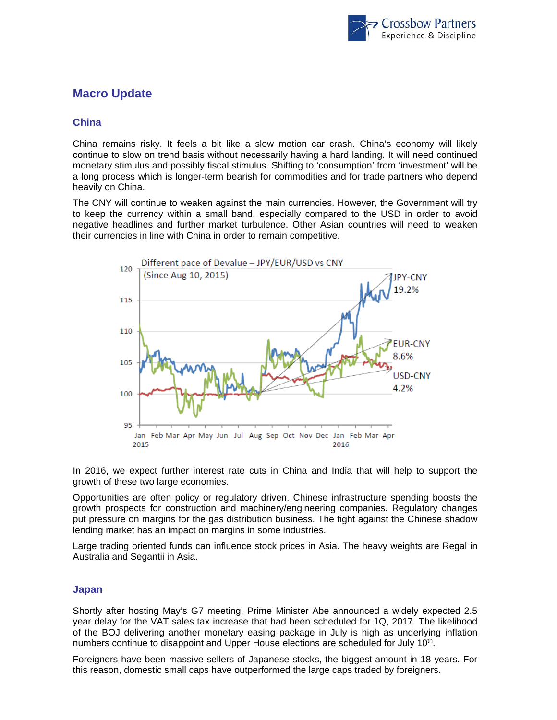

## **Macro Update**

## **China**

China remains risky. It feels a bit like a slow motion car crash. China's economy will likely continue to slow on trend basis without necessarily having a hard landing. It will need continued monetary stimulus and possibly fiscal stimulus. Shifting to 'consumption' from 'investment' will be a long process which is longer-term bearish for commodities and for trade partners who depend heavily on China.

The CNY will continue to weaken against the main currencies. However, the Government will try to keep the currency within a small band, especially compared to the USD in order to avoid negative headlines and further market turbulence. Other Asian countries will need to weaken their currencies in line with China in order to remain competitive.



In 2016, we expect further interest rate cuts in China and India that will help to support the growth of these two large economies.

Opportunities are often policy or regulatory driven. Chinese infrastructure spending boosts the growth prospects for construction and machinery/engineering companies. Regulatory changes put pressure on margins for the gas distribution business. The fight against the Chinese shadow lending market has an impact on margins in some industries.

Large trading oriented funds can influence stock prices in Asia. The heavy weights are Regal in Australia and Segantii in Asia.

## **Japan**

Shortly after hosting May's G7 meeting, Prime Minister Abe announced a widely expected 2.5 year delay for the VAT sales tax increase that had been scheduled for 1Q, 2017. The likelihood of the BOJ delivering another monetary easing package in July is high as underlying inflation numbers continue to disappoint and Upper House elections are scheduled for July 10<sup>th</sup>.

Foreigners have been massive sellers of Japanese stocks, the biggest amount in 18 years. For this reason, domestic small caps have outperformed the large caps traded by foreigners.